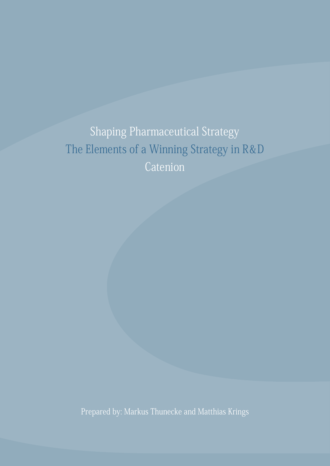# Shaping Pharmaceutical Strategy The Elements of a Winning Strategy in R&D Catenion

Prepared by: Markus Thunecke and Matthias Krings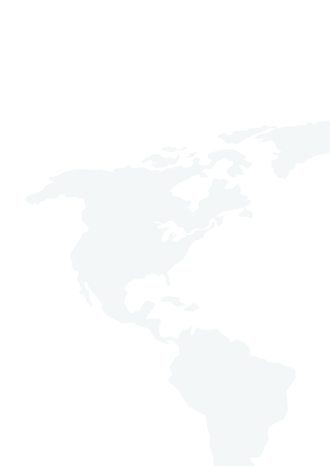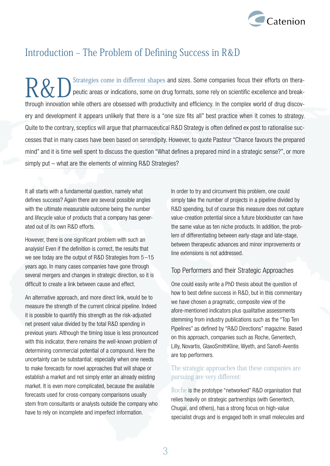

## Introduction – The Problem of Defining Success in R&D

R&D Strategies come in different shapes and sizes. Some companies focus their efforts on thera-<br>peutic areas or indications, some on drug formats, some rely on scientific excellence and breakpeutic areas or indications, some on drug formats, some rely on scientific excellence and breakthrough innovation while others are obsessed with productivity and efficiency. In the complex world of drug discovery and development it appears unlikely that there is a "one size fits all" best practice when it comes to strategy. Quite to the contrary, sceptics will argue that pharmaceutical R&D Strategy is often defined ex post to rationalise successes that in many cases have been based on serendipity. However, to quote Pasteur "Chance favours the prepared mind" and it is time well spent to discuss the question "What defines a prepared mind in a strategic sense?", or more simply put – what are the elements of winning R&D Strategies?

It all starts with a fundamental question, namely what defines success? Again there are several possible angles with the ultimate measurable outcome being the number and lifecycle value of products that a company has generated out of its own R&D efforts.

However, there is one significant problem with such an analysis! Even if the definition is correct, the results that we see today are the output of R&D Strategies from 5 –15 years ago. In many cases companies have gone through several mergers and changes in strategic direction, so it is difficult to create a link between cause and effect.

An alternative approach, and more direct link, would be to measure the strength of the current clinical pipeline. Indeed it is possible to quantify this strength as the risk-adjusted net present value divided by the total R&D spending in previous years. Although the timing issue is less pronounced with this indicator, there remains the well-known problem of determining commercial potential of a compound. Here the uncertainty can be substantial; especially when one needs to make forecasts for novel approaches that will shape or establish a market and not simply enter an already existing market. It is even more complicated, because the available forecasts used for cross-company comparisons usually stem from consultants or analysts outside the company who have to rely on incomplete and imperfect information.

In order to try and circumvent this problem, one could simply take the number of projects in a pipeline divided by R&D spending, but of course this measure does not capture value-creation potential since a future blockbuster can have the same value as ten niche products. In addition, the problem of differentiating between early-stage and late-stage, between therapeutic advances and minor improvements or line extensions is not addressed.

### Top Performers and their Strategic Approaches

One could easily write a PhD thesis about the question of how to best define success in R&D, but in this commentary we have chosen a pragmatic, composite view of the afore-mentioned indicators plus qualitative assessments stemming from industry publications such as the "Top Ten Pipelines" as defined by "R&D Directions" magazine. Based on this approach, companies such as Roche, Genentech, Lilly, Novartis, GlaxoSmithKline, Wyeth, and Sanofi-Aventis are top performers.

### The strategic approaches that these companies are pursuing are very different:

Roche is the prototype "networked" R&D organisation that relies heavily on strategic partnerships (with Genentech, Chugai, and others), has a strong focus on high-value specialist drugs and is engaged both in small molecules and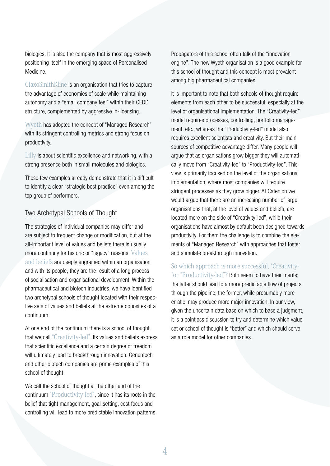biologics. It is also the company that is most aggressively positioning itself in the emerging space of Personalised Medicine.

GlaxoSmithKline is an organisation that tries to capture the advantage of economies of scale while maintaining autonomy and a "small company feel" within their CEDD structure, complemented by aggressive in-licensing.

Wyeth has adopted the concept of "Managed Research" with its stringent controlling metrics and strong focus on productivity.

Lilly is about scientific excellence and networking, with a strong presence both in small molecules and biologics.

These few examples already demonstrate that it is difficult to identify a clear "strategic best practice" even among the top group of performers.

### Two Archetypal Schools of Thought

The strategies of individual companies may differ and are subject to frequent change or modification, but at the all-important level of values and beliefs there is usually more continuity for historic or "legacy" reasons. Values and beliefs are deeply engrained within an organisation and with its people; they are the result of a long process of socialisation and organisational development. Within the pharmaceutical and biotech industries, we have identified two archetypal schools of thought located with their respective sets of values and beliefs at the extreme opposites of a continuum.

At one end of the continuum there is a school of thought that we call "Creativity-led". Its values and beliefs express that scientific excellence and a certain degree of freedom will ultimately lead to breakthrough innovation. Genentech and other biotech companies are prime examples of this school of thought.

We call the school of thought at the other end of the continuum "Productivity-led", since it has its roots in the belief that tight management, goal-setting, cost focus and controlling will lead to more predictable innovation patterns. Propagators of this school often talk of the "innovation engine". The new Wyeth organisation is a good example for this school of thought and this concept is most prevalent among big pharmaceutical companies.

It is important to note that both schools of thought require elements from each other to be successful, especially at the level of organisational implementation. The "Creativity-led" model requires processes, controlling, portfolio management, etc., whereas the "Productivity-led" model also requires excellent scientists and creativity. But their main sources of competitive advantage differ. Many people will argue that as organisations grow bigger they will automatically move from "Creativity-led" to "Productivity-led". This view is primarily focused on the level of the organisational implementation, where most companies will require stringent processes as they grow bigger. At Catenion we would argue that there are an increasing number of large organisations that, at the level of values and beliefs, are located more on the side of "Creativity-led", while their organisations have almost by default been designed towards productivity. For them the challenge is to combine the elements of "Managed Research" with approaches that foster and stimulate breakthrough innovation.

So which approach is more successful, "Creativity- "or "Productivity-led"? Both seem to have their merits; the latter should lead to a more predictable flow of projects through the pipeline, the former, while presumably more erratic, may produce more major innovation. In our view, given the uncertain data base on which to base a judgment, it is a pointless discussion to try and determine which value set or school of thought is "better" and which should serve as a role model for other companies.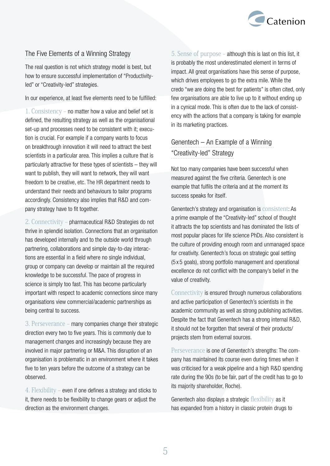

### The Five Elements of a Winning Strategy

The real question is not which strategy model is best, but how to ensure successful implementation of "Productivityled" or "Creativity-led" strategies.

In our experience, at least five elements need to be fulfilled:

1. Consistency – no matter how a value and belief set is defined, the resulting strategy as well as the organisational set-up and processes need to be consistent with it; execution is crucial. For example if a company wants to focus on breakthrough innovation it will need to attract the best scientists in a particular area. This implies a culture that is particularly attractive for these types of scientists – they will want to publish, they will want to network, they will want freedom to be creative, etc. The HR department needs to understand their needs and behaviours to tailor programs accordingly. Consistency also implies that R&D and company strategy have to fit together.

2. Connectivity – pharmaceutical R&D Strategies do not thrive in splendid isolation. Connections that an organisation has developed internally and to the outside world through partnering, collaborations and simple day-to-day interactions are essential in a field where no single individual, group or company can develop or maintain all the required knowledge to be successful. The pace of progress in science is simply too fast. This has become particularly important with respect to academic connections since many organisations view commercial/academic partnerships as being central to success.

3. Perseverance – many companies change their strategic direction every two to five years. This is commonly due to management changes and increasingly because they are involved in major partnering or M&A. This disruption of an organisation is problematic in an environment where it takes five to ten years before the outcome of a strategy can be observed.

4. Flexibility – even if one defines a strategy and sticks to it, there needs to be flexibility to change gears or adjust the direction as the environment changes.

5. Sense of purpose – although this is last on this list, it is probably the most underestimated element in terms of impact. All great organisations have this sense of purpose, which drives employees to go the extra mile. While the credo "we are doing the best for patients" is often cited, only few organisations are able to live up to it without ending up in a cynical mode. This is often due to the lack of consistency with the actions that a company is taking for example in its marketing practices.

### Genentech – An Example of a Winning "Creativity-led" Strategy

Not too many companies have been successful when measured against the five criteria. Genentech is one example that fulfils the criteria and at the moment its success speaks for itself.

Genentech's strategy and organisation is consistent: As a prime example of the "Creativity-led" school of thought it attracts the top scientists and has dominated the lists of most popular places for life science PhDs. Also consistent is the culture of providing enough room and unmanaged space for creativity. Genentech's focus on strategic goal setting (5 x 5 goals), strong portfolio management and operational excellence do not conflict with the company's belief in the value of creativity.

Connectivity is ensured through numerous collaborations and active participation of Genentech's scientists in the academic community as well as strong publishing activities. Despite the fact that Genentech has a strong internal R&D, it should not be forgotten that several of their products/ projects stem from external sources.

Perseverance is one of Genentech's strengths: The company has maintained its course even during times when it was criticised for a weak pipeline and a high R&D spending rate during the 90s (to be fair, part of the credit has to go to its majority shareholder, Roche).

Genentech also displays a strategic flexibility as it has expanded from a history in classic protein drugs to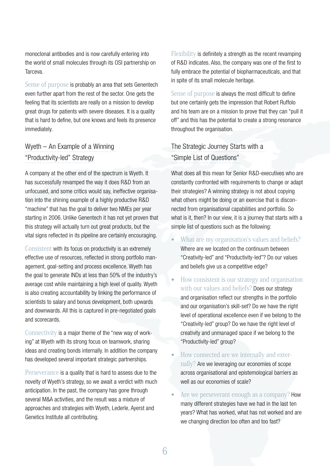monoclonal antibodies and is now carefully entering into the world of small molecules through its OSI partnership on **Tarceva** 

Sense of purpose is probably an area that sets Genentech even further apart from the rest of the sector. One gets the feeling that its scientists are really on a mission to develop great drugs for patients with severe diseases. It is a quality that is hard to define, but one knows and feels its presence immediately.

### Wyeth – An Example of a Winning "Productivity-led" Strategy

A company at the other end of the spectrum is Wyeth. It has successfully revamped the way it does R&D from an unfocused, and some critics would say, ineffective organisation into the shining example of a highly productive R&D "machine" that has the goal to deliver two NMEs per year starting in 2006. Unlike Genentech it has not yet proven that this strategy will actually turn out great products, but the vital signs reflected in its pipeline are certainly encouraging.

Consistent with its focus on productivity is an extremely effective use of resources, reflected in strong portfolio management, goal-setting and process excellence. Wyeth has the goal to generate INDs at less than 50% of the industry's average cost while maintaining a high level of quality. Wyeth is also creating accountability by linking the performance of scientists to salary and bonus development, both upwards and downwards. All this is captured in pre-negotiated goals and scorecards.

Connectivity is a major theme of the "new way of working" at Wyeth with its strong focus on teamwork, sharing ideas and creating bonds internally. In addition the company has developed several important strategic partnerships.

Perseverance is a quality that is hard to assess due to the novelty of Wyeth's strategy, so we await a verdict with much anticipation. In the past, the company has gone through several M&A activities, and the result was a mixture of approaches and strategies with Wyeth, Lederle, Ayerst and Genetics Institute all contributing.

Flexibility is definitely a strength as the recent revamping of R&D indicates. Also, the company was one of the first to fully embrace the potential of biopharmaceuticals, and that in spite of its small molecule heritage.

Sense of purpose is always the most difficult to define but one certainly gets the impression that Robert Ruffolo and his team are on a mission to prove that they can "pull it off" and this has the potential to create a strong resonance throughout the organisation.

### The Strategic Journey Starts with a "Simple List of Questions"

What does all this mean for Senior R&D-executives who are constantly confronted with requirements to change or adapt their strategies? A winning strategy is not about copying what others might be doing or an exercise that is disconnected from organisational capabilities and portfolio. So what is it, then? In our view, it is a journey that starts with a simple list of questions such as the following:

- What are my organisation's values and beliefs? Where are we located on the continuum between "Creativity-led" and "Productivity-led"? Do our values and beliefs give us a competitive edge?
- How consistent is our strategy and organisation with our values and beliefs? Does our strategy and organisation reflect our strengths in the portfolio and our organisation's skill-set? Do we have the right level of operational excellence even if we belong to the "Creativity-led" group? Do we have the right level of creativity and unmanaged space if we belong to the "Productivity-led" group?
- How connected are we internally and externally? Are we leveraging our economies of scope across organisational and epistemological barriers as well as our economies of scale?
- Are we perseverant enough as a company? How many different strategies have we had in the last ten years? What has worked, what has not worked and are we changing direction too often and too fast?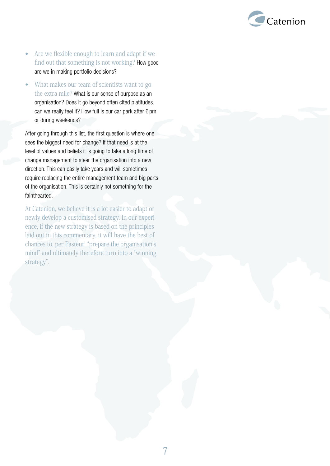

- Are we flexible enough to learn and adapt if we find out that something is not working? How good are we in making portfolio decisions?
- What makes our team of scientists want to go the extra mile? What is our sense of purpose as an organisation? Does it go beyond often cited platitudes, can we really feel it? How full is our car park after 6 pm or during weekends?

After going through this list, the first question is where one sees the biggest need for change? If that need is at the level of values and beliefs it is going to take a long time of change management to steer the organisation into a new direction. This can easily take years and will sometimes require replacing the entire management team and big parts of the organisation. This is certainly not something for the fainthearted.

At Catenion, we believe it is a lot easier to adapt or newly develop a customised strategy. In our experience, if the new strategy is based on the principles laid out in this commentary, it will have the best of chances to, per Pasteur, "prepare the organisation's mind" and ultimately therefore turn into a "winning strategy".